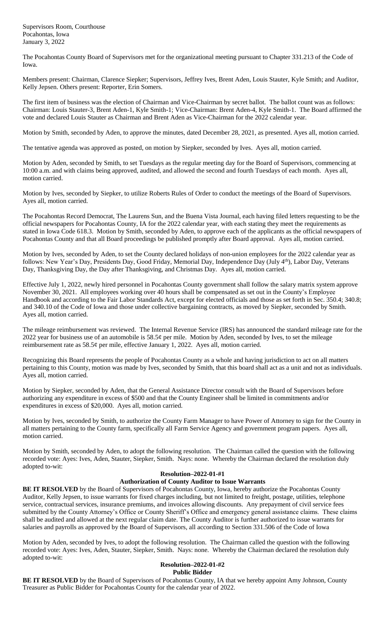Supervisors Room, Courthouse Pocahontas, Iowa January 3, 2022

The Pocahontas County Board of Supervisors met for the organizational meeting pursuant to Chapter 331.213 of the Code of Iowa.

Members present: Chairman, Clarence Siepker; Supervisors, Jeffrey Ives, Brent Aden, Louis Stauter, Kyle Smith; and Auditor, Kelly Jepsen. Others present: Reporter, Erin Somers.

The first item of business was the election of Chairman and Vice-Chairman by secret ballot. The ballot count was as follows: Chairman: Louis Stauter-3, Brent Aden-1, Kyle Smith-1; Vice-Chairman: Brent Aden-4, Kyle Smith-1. The Board affirmed the vote and declared Louis Stauter as Chairman and Brent Aden as Vice-Chairman for the 2022 calendar year.

Motion by Smith, seconded by Aden, to approve the minutes, dated December 28, 2021, as presented. Ayes all, motion carried.

The tentative agenda was approved as posted, on motion by Siepker, seconded by Ives. Ayes all, motion carried.

Motion by Aden, seconded by Smith, to set Tuesdays as the regular meeting day for the Board of Supervisors, commencing at 10:00 a.m. and with claims being approved, audited, and allowed the second and fourth Tuesdays of each month. Ayes all, motion carried.

Motion by Ives, seconded by Siepker, to utilize Roberts Rules of Order to conduct the meetings of the Board of Supervisors. Ayes all, motion carried.

The Pocahontas Record Democrat, The Laurens Sun, and the Buena Vista Journal, each having filed letters requesting to be the official newspapers for Pocahontas County, IA for the 2022 calendar year, with each stating they meet the requirements as stated in Iowa Code 618.3. Motion by Smith, seconded by Aden, to approve each of the applicants as the official newspapers of Pocahontas County and that all Board proceedings be published promptly after Board approval. Ayes all, motion carried.

Motion by Ives, seconded by Aden, to set the County declared holidays of non-union employees for the 2022 calendar year as follows: New Year's Day, Presidents Day, Good Friday, Memorial Day, Independence Day (July 4<sup>th</sup>), Labor Day, Veterans Day, Thanksgiving Day, the Day after Thanksgiving, and Christmas Day. Ayes all, motion carried.

Effective July 1, 2022, newly hired personnel in Pocahontas County government shall follow the salary matrix system approve November 30, 2021. All employees working over 40 hours shall be compensated as set out in the County's Employee Handbook and according to the Fair Labor Standards Act, except for elected officials and those as set forth in Sec. 350.4; 340.8; and 340.10 of the Code of Iowa and those under collective bargaining contracts, as moved by Siepker, seconded by Smith. Ayes all, motion carried.

The mileage reimbursement was reviewed. The Internal Revenue Service (IRS) has announced the standard mileage rate for the 2022 year for business use of an automobile is  $58.5¢$  per mile. Motion by Aden, seconded by Ives, to set the mileage reimbursement rate as 58.5¢ per mile, effective January 1, 2022. Ayes all, motion carried.

Recognizing this Board represents the people of Pocahontas County as a whole and having jurisdiction to act on all matters pertaining to this County, motion was made by Ives, seconded by Smith, that this board shall act as a unit and not as individuals. Ayes all, motion carried.

Motion by Siepker, seconded by Aden, that the General Assistance Director consult with the Board of Supervisors before authorizing any expenditure in excess of \$500 and that the County Engineer shall be limited in commitments and/or expenditures in excess of \$20,000. Ayes all, motion carried.

Motion by Ives, seconded by Smith, to authorize the County Farm Manager to have Power of Attorney to sign for the County in all matters pertaining to the County farm, specifically all Farm Service Agency and government program papers. Ayes all, motion carried.

Motion by Smith, seconded by Aden, to adopt the following resolution. The Chairman called the question with the following recorded vote: Ayes: Ives, Aden, Stauter, Siepker, Smith. Nays: none. Whereby the Chairman declared the resolution duly adopted to-wit:

### **Resolution–2022-01-#1 Authorization of County Auditor to Issue Warrants**

**BE IT RESOLVED** by the Board of Supervisors of Pocahontas County, Iowa, hereby authorize the Pocahontas County Auditor, Kelly Jepsen, to issue warrants for fixed charges including, but not limited to freight, postage, utilities, telephone service, contractual services, insurance premiums, and invoices allowing discounts. Any prepayment of civil service fees submitted by the County Attorney's Office or County Sheriff's Office and emergency general assistance claims. These claims shall be audited and allowed at the next regular claim date. The County Auditor is further authorized to issue warrants for salaries and payrolls as approved by the Board of Supervisors, all according to Section 331.506 of the Code of Iowa

Motion by Aden, seconded by Ives, to adopt the following resolution. The Chairman called the question with the following recorded vote: Ayes: Ives, Aden, Stauter, Siepker, Smith. Nays: none. Whereby the Chairman declared the resolution duly adopted to-wit:

#### **Resolution–2022-01-#2 Public Bidder**

**BE IT RESOLVED** by the Board of Supervisors of Pocahontas County, IA that we hereby appoint Amy Johnson, County Treasurer as Public Bidder for Pocahontas County for the calendar year of 2022.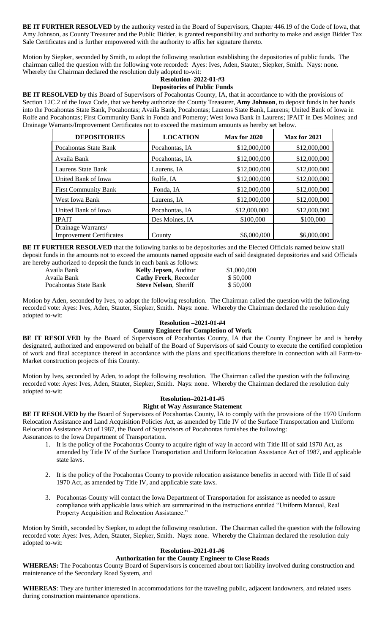**BE IT FURTHER RESOLVED** by the authority vested in the Board of Supervisors, Chapter 446.19 of the Code of Iowa, that Amy Johnson, as County Treasurer and the Public Bidder, is granted responsibility and authority to make and assign Bidder Tax Sale Certificates and is further empowered with the authority to affix her signature thereto.

Motion by Siepker, seconded by Smith, to adopt the following resolution establishing the depositories of public funds. The chairman called the question with the following vote recorded: Ayes: Ives, Aden, Stauter, Siepker, Smith. Nays: none. Whereby the Chairman declared the resolution duly adopted to-wit:

### **Resolution–2022-01-#3 Depositories of Public Funds**

**BE IT RESOLVED** by this Board of Supervisors of Pocahontas County, IA, that in accordance to with the provisions of Section 12C.2 of the Iowa Code, that we hereby authorize the County Treasurer, **Amy Johnson**, to deposit funds in her hands into the Pocahontas State Bank, Pocahontas; Availa Bank, Pocahontas; Laurens State Bank, Laurens; United Bank of Iowa in Rolfe and Pocahontas; First Community Bank in Fonda and Pomeroy; West Iowa Bank in Laurens; IPAIT in Des Moines; and Drainage Warrants/Improvement Certificates not to exceed the maximum amounts as hereby set below.

| <b>DEPOSITORIES</b>                                   | <b>LOCATION</b> | Max for 2020 | Max for 2021 |
|-------------------------------------------------------|-----------------|--------------|--------------|
| Pocahontas State Bank                                 | Pocahontas, IA  | \$12,000,000 | \$12,000,000 |
| Availa Bank                                           | Pocahontas, IA  | \$12,000,000 | \$12,000,000 |
| Laurens State Bank                                    | Laurens, IA     | \$12,000,000 | \$12,000,000 |
| United Bank of Iowa                                   | Rolfe, IA       | \$12,000,000 | \$12,000,000 |
| <b>First Community Bank</b>                           | Fonda, IA       | \$12,000,000 | \$12,000,000 |
| West Iowa Bank                                        | Laurens, IA     | \$12,000,000 | \$12,000,000 |
| United Bank of Iowa                                   | Pocahontas, IA  | \$12,000,000 | \$12,000,000 |
| <b>IPAIT</b>                                          | Des Moines, IA  | \$100,000    | \$100,000    |
| Drainage Warrants/<br><b>Improvement Certificates</b> | County          | \$6,000,000  | \$6,000,000  |

**BE IT FURTHER RESOLVED** that the following banks to be depositories and the Elected Officials named below shall deposit funds in the amounts not to exceed the amounts named opposite each of said designated depositories and said Officials are hereby authorized to deposit the funds in each bank as follows:

| $\sim$ , we around the composite and realises in which ceanic as route $\sim$ . |                               |             |  |  |  |
|---------------------------------------------------------------------------------|-------------------------------|-------------|--|--|--|
| Availa Bank                                                                     | <b>Kelly Jepsen</b> , Auditor | \$1,000,000 |  |  |  |
| Availa Bank                                                                     | <b>Cathy Frerk, Recorder</b>  | \$50,000    |  |  |  |
| Pocahontas State Bank                                                           | <b>Steve Nelson, Sheriff</b>  | \$50,000    |  |  |  |

Motion by Aden, seconded by Ives, to adopt the following resolution. The Chairman called the question with the following recorded vote: Ayes: Ives, Aden, Stauter, Siepker, Smith. Nays: none. Whereby the Chairman declared the resolution duly adopted to-wit:

## **Resolution –2021-01-#4**

## **County Engineer for Completion of Work**

BE IT RESOLVED by the Board of Supervisors of Pocahontas County, IA that the County Engineer be and is hereby designated, authorized and empowered on behalf of the Board of Supervisors of said County to execute the certified completion of work and final acceptance thereof in accordance with the plans and specifications therefore in connection with all Farm-to-Market construction projects of this County.

Motion by Ives, seconded by Aden, to adopt the following resolution. The Chairman called the question with the following recorded vote: Ayes: Ives, Aden, Stauter, Siepker, Smith. Nays: none. Whereby the Chairman declared the resolution duly adopted to-wit:

# **Resolution–2021-01-#5**

# **Right of Way Assurance Statement**

**BE IT RESOLVED** by the Board of Supervisors of Pocahontas County, IA to comply with the provisions of the 1970 Uniform Relocation Assistance and Land Acquisition Policies Act, as amended by Title IV of the Surface Transportation and Uniform Relocation Assistance Act of 1987, the Board of Supervisors of Pocahontas furnishes the following: Assurances to the Iowa Department of Transportation.

- 1. It is the policy of the Pocahontas County to acquire right of way in accord with Title III of said 1970 Act, as amended by Title IV of the Surface Transportation and Uniform Relocation Assistance Act of 1987, and applicable state laws.
- 2. It is the policy of the Pocahontas County to provide relocation assistance benefits in accord with Title II of said 1970 Act, as amended by Title IV, and applicable state laws.
- 3. Pocahontas County will contact the Iowa Department of Transportation for assistance as needed to assure compliance with applicable laws which are summarized in the instructions entitled "Uniform Manual, Real Property Acquisition and Relocation Assistance."

Motion by Smith, seconded by Siepker, to adopt the following resolution. The Chairman called the question with the following recorded vote: Ayes: Ives, Aden, Stauter, Siepker, Smith. Nays: none. Whereby the Chairman declared the resolution duly adopted to-wit:

## **Resolution–2021-01-#6**

## **Authorization for the County Engineer to Close Roads**

**WHEREAS:** The Pocahontas County Board of Supervisors is concerned about tort liability involved during construction and maintenance of the Secondary Road System, and

**WHEREAS**: They are further interested in accommodations for the traveling public, adjacent landowners, and related users during construction maintenance operations.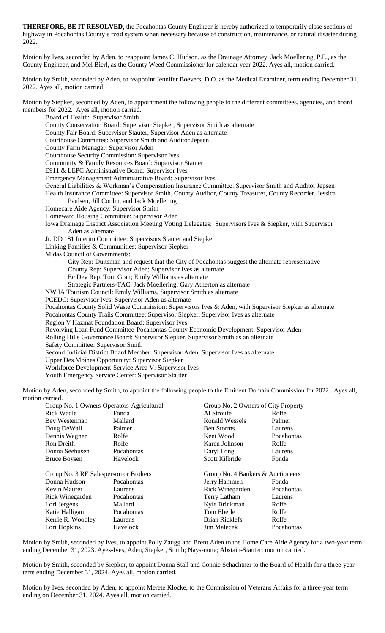**THEREFORE, BE IT RESOLVED**, the Pocahontas County Engineer is hereby authorized to temporarily close sections of highway in Pocahontas County's road system when necessary because of construction, maintenance, or natural disaster during 2022.

Motion by Ives, seconded by Aden, to reappoint James C. Hudson, as the Drainage Attorney, Jack Moellering, P.E., as the County Engineer, and Mel Bierl, as the County Weed Commissioner for calendar year 2022. Ayes all, motion carried.

Motion by Smith, seconded by Aden, to reappoint Jennifer Boevers, D.O. as the Medical Examiner, term ending December 31, 2022. Ayes all, motion carried.

Motion by Siepker, seconded by Aden, to appointment the following people to the different committees, agencies, and board members for 2022. Ayes all, motion carried.

Board of Health: Supervisor Smith County Conservation Board: Supervisor Siepker, Supervisor Smith as alternate County Fair Board: Supervisor Stauter, Supervisor Aden as alternate Courthouse Committee: Supervisor Smith and Auditor Jepsen County Farm Manager: Supervisor Aden Courthouse Security Commission: Supervisor Ives Community & Family Resources Board: Supervisor Stauter E911 & LEPC Administrative Board: Supervisor Ives Emergency Management Administrative Board: Supervisor Ives General Liabilities & Workman's Compensation Insurance Committee: Supervisor Smith and Auditor Jepsen Health Insurance Committee: Supervisor Smith, County Auditor, County Treasurer, County Recorder, Jessica Paulsen, Jill Conlin, and Jack Moellering Homecare Aide Agency: Supervisor Smith Homeward Housing Committee: Supervisor Aden Iowa Drainage District Association Meeting Voting Delegates: Supervisors Ives & Siepker, with Supervisor Aden as alternate Jt. DD 181 Interim Committee: Supervisors Stauter and Siepker Linking Families & Communities: Supervisor Siepker Midas Council of Governments: City Rep: Duitsman and request that the City of Pocahontas suggest the alternate representative County Rep: Supervisor Aden; Supervisor Ives as alternate Ec Dev Rep: Tom Grau; Emily Williams as alternate Strategic Partners-TAC: Jack Moellering; Gary Atherton as alternate NW IA Tourism Council: Emily Williams, Supervisor Smith as alternate PCEDC: Supervisor Ives, Supervisor Aden as alternate Pocahontas County Solid Waste Commission: Supervisors Ives & Aden, with Supervisor Siepker as alternate Pocahontas County Trails Committee: Supervisor Siepker, Supervisor Ives as alternate Region V Hazmat Foundation Board: Supervisor Ives Revolving Loan Fund Committee-Pocahontas County Economic Development: Supervisor Aden Rolling Hills Governance Board: Supervisor Siepker, Supervisor Smith as an alternate Safety Committee: Supervisor Smith Second Judicial District Board Member: Supervisor Aden, Supervisor Ives as alternate Upper Des Moines Opportunity: Supervisor Siepker Workforce Development-Service Area V: Supervisor Ives Youth Emergency Service Center: Supervisor Stauter Motion by Aden, seconded by Smith, to appoint the following people to the Eminent Domain Commission for 2022. Ayes all, motion carried.

| Group No. 1 Owners-Operators-Agricultural |            | Group No. 2 Owners of City Property |            |
|-------------------------------------------|------------|-------------------------------------|------------|
| <b>Rick Wadle</b>                         | Fonda      | Al Stroufe                          | Rolfe      |
| Bev Westerman                             | Mallard    | Ronald Wessels                      | Palmer     |
| Doug DeWall                               | Palmer     | <b>Ben Storms</b>                   | Laurens    |
| Dennis Wagner                             | Rolfe      | Kent Wood                           | Pocahontas |
| Ron Dreith                                | Rolfe      | Karen Johnson                       | Rolfe      |
| Donna Seehusen                            | Pocahontas | Daryl Long                          | Laurens    |
| <b>Bruce Boysen</b>                       | Havelock   | Scott Kilbride                      | Fonda      |
| Group No. 3 RE Salesperson or Brokers     |            | Group No. 4 Bankers & Auctioneers   |            |
| Donna Hudson                              | Pocahontas | Jerry Hammen                        | Fonda      |
| Kevin Maurer                              | Laurens    | Rick Winegarden                     | Pocahontas |
| Rick Winegarden                           | Pocahontas | Terry Latham                        | Laurens    |
| Lori Jergens                              | Mallard    | Kyle Brinkman                       | Rolfe      |
| Katie Halligan                            | Pocahontas | Tom Eberle                          | Rolfe      |
| Kerrie R. Woodley                         | Laurens    | <b>Brian Ricklefs</b>               | Rolfe      |
| Lori Hopkins                              | Havelock   | <b>Jim Malecek</b>                  | Pocahontas |
|                                           |            |                                     |            |

Motion by Smith, seconded by Ives, to appoint Polly Zaugg and Brent Aden to the Home Care Aide Agency for a two-year term ending December 31, 2023. Ayes-Ives, Aden, Siepker, Smith; Nays-none; Abstain-Stauter; motion carried.

Motion by Smith, seconded by Siepker, to appoint Donna Stall and Connie Schachtner to the Board of Health for a three-year term ending December 31, 2024. Ayes all, motion carried.

Motion by Ives, seconded by Aden, to appoint Merete Klocke, to the Commission of Veterans Affairs for a three-year term ending on December 31, 2024. Ayes all, motion carried.